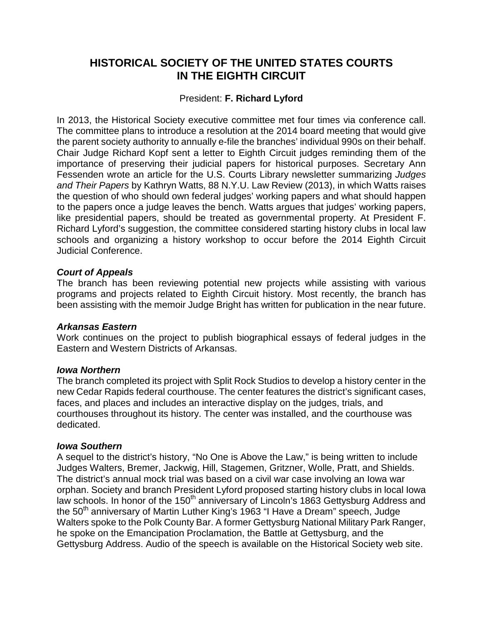# **HISTORICAL SOCIETY OF THE UNITED STATES COURTS IN THE EIGHTH CIRCUIT**

# President: **F. Richard Lyford**

In 2013, the Historical Society executive committee met four times via conference call. The committee plans to introduce a resolution at the 2014 board meeting that would give the parent society authority to annually e-file the branches' individual 990s on their behalf. Chair Judge Richard Kopf sent a letter to Eighth Circuit judges reminding them of the importance of preserving their judicial papers for historical purposes. Secretary Ann Fessenden wrote an article for the U.S. Courts Library newsletter summarizing *Judges and Their Papers* by Kathryn Watts, 88 N.Y.U. Law Review (2013), in which Watts raises the question of who should own federal judges' working papers and what should happen to the papers once a judge leaves the bench. Watts argues that judges' working papers, like presidential papers, should be treated as governmental property. At President F. Richard Lyford's suggestion, the committee considered starting history clubs in local law schools and organizing a history workshop to occur before the 2014 Eighth Circuit Judicial Conference.

# *Court of Appeals*

The branch has been reviewing potential new projects while assisting with various programs and projects related to Eighth Circuit history. Most recently, the branch has been assisting with the memoir Judge Bright has written for publication in the near future.

# *Arkansas Eastern*

Work continues on the project to publish biographical essays of federal judges in the Eastern and Western Districts of Arkansas.

### *Iowa Northern*

The branch completed its project with Split Rock Studios to develop a history center in the new Cedar Rapids federal courthouse. The center features the district's significant cases, faces, and places and includes an interactive display on the judges, trials, and courthouses throughout its history. The center was installed, and the courthouse was dedicated.

### *Iowa Southern*

A sequel to the district's history, "No One is Above the Law," is being written to include Judges Walters, Bremer, Jackwig, Hill, Stagemen, Gritzner, Wolle, Pratt, and Shields. The district's annual mock trial was based on a civil war case involving an Iowa war orphan. Society and branch President Lyford proposed starting history clubs in local Iowa law schools. In honor of the 150<sup>th</sup> anniversary of Lincoln's 1863 Gettysburg Address and the 50<sup>th</sup> anniversary of Martin Luther King's 1963 "I Have a Dream" speech, Judge Walters spoke to the Polk County Bar. A former Gettysburg National Military Park Ranger, he spoke on the Emancipation Proclamation, the Battle at Gettysburg, and the Gettysburg Address. Audio of the speech is available on the Historical Society web site.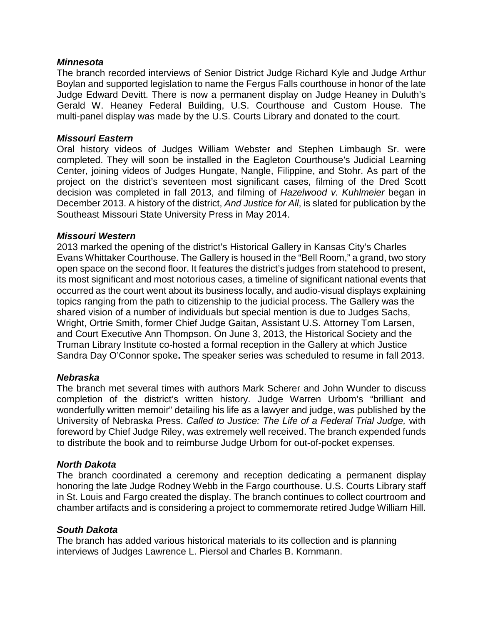# *Minnesota*

The branch recorded interviews of Senior District Judge Richard Kyle and Judge Arthur Boylan and supported legislation to name the Fergus Falls courthouse in honor of the late Judge Edward Devitt. There is now a permanent display on Judge Heaney in Duluth's Gerald W. Heaney Federal Building, U.S. Courthouse and Custom House. The multi-panel display was made by the U.S. Courts Library and donated to the court.

# *Missouri Eastern*

Oral history videos of Judges William Webster and Stephen Limbaugh Sr. were completed. They will soon be installed in the Eagleton Courthouse's Judicial Learning Center, joining videos of Judges Hungate, Nangle, Filippine, and Stohr. As part of the project on the district's seventeen most significant cases, filming of the Dred Scott decision was completed in fall 2013, and filming of *Hazelwood v. Kuhlmeier* began in December 2013. A history of the district, *And Justice for All*, is slated for publication by the Southeast Missouri State University Press in May 2014.

# *Missouri Western*

2013 marked the opening of the district's Historical Gallery in Kansas City's Charles Evans Whittaker Courthouse. The Gallery is housed in the "Bell Room," a grand, two story open space on the second floor. It features the district's judges from statehood to present, its most significant and most notorious cases, a timeline of significant national events that occurred as the court went about its business locally, and audio-visual displays explaining topics ranging from the path to citizenship to the judicial process. The Gallery was the shared vision of a number of individuals but special mention is due to Judges Sachs, Wright, Ortrie Smith, former Chief Judge Gaitan, Assistant U.S. Attorney Tom Larsen, and Court Executive Ann Thompson. On June 3, 2013, the Historical Society and the Truman Library Institute co-hosted a formal reception in the Gallery at which Justice Sandra Day O'Connor spoke**.** The speaker series was scheduled to resume in fall 2013.

# *Nebraska*

The branch met several times with authors Mark Scherer and John Wunder to discuss completion of the district's written history. Judge Warren Urbom's "brilliant and wonderfully written memoir" detailing his life as a lawyer and judge, was published by the University of Nebraska Press. *Called to Justice: The Life of a Federal Trial Judge,* with foreword by Chief Judge Riley, was extremely well received. The branch expended funds to distribute the book and to reimburse Judge Urbom for out-of-pocket expenses.

# *North Dakota*

The branch coordinated a ceremony and reception dedicating a permanent display honoring the late Judge Rodney Webb in the Fargo courthouse. U.S. Courts Library staff in St. Louis and Fargo created the display. The branch continues to collect courtroom and chamber artifacts and is considering a project to commemorate retired Judge William Hill.

# *South Dakota*

The branch has added various historical materials to its collection and is planning interviews of Judges Lawrence L. Piersol and Charles B. Kornmann.